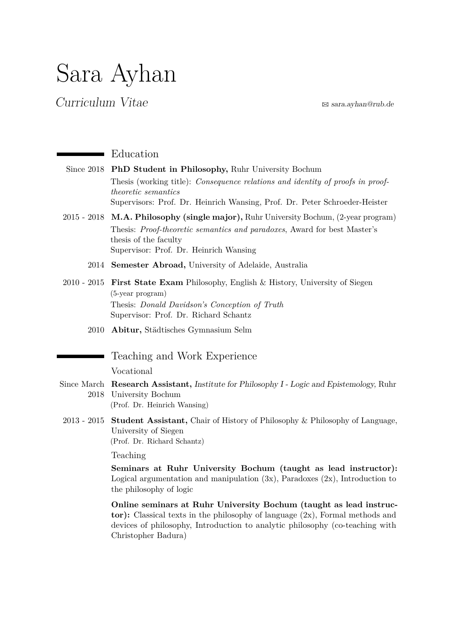# Sara Ayhan

## $Curricular Vitae$   $\approx$  [sara.ayhan@rub.de](mailto:sara.ayhan@rub.de)

## **E**ducation

| Since 2018 PhD Student in Philosophy, Ruhr University Bochum                          |
|---------------------------------------------------------------------------------------|
| Thesis (working title): <i>Consequence relations and identity of proofs in proof-</i> |
| <i>theoretic semantics</i>                                                            |
| Supervisors: Prof. Dr. Heinrich Wansing, Prof. Dr. Peter Schroeder-Heister            |

- 2015 2018 **M.A. Philosophy (single major),** Ruhr University Bochum, (2-year program) Thesis: *Proof-theoretic semantics and paradoxes*, Award for best Master's thesis of the faculty Supervisor: Prof. Dr. Heinrich Wansing
	- 2014 **Semester Abroad,** University of Adelaide, Australia
- 2010 2015 **First State Exam** Philosophy, English & History, University of Siegen (5-year program) Thesis: *Donald Davidson's Conception of Truth* Supervisor: Prof. Dr. Richard Schantz
	- 2010 **Abitur,** Städtisches Gymnasium Selm

## Teaching and Work Experience

### Vocational

- Since March **Research Assistant,** Institute for Philosophy I Logic and Epistemology, Ruhr 2018 University Bochum (Prof. Dr. Heinrich Wansing)
- 2013 2015 **Student Assistant,** Chair of History of Philosophy & Philosophy of Language, University of Siegen (Prof. Dr. Richard Schantz)

Teaching

**Seminars at Ruhr University Bochum (taught as lead instructor):** Logical argumentation and manipulation  $(3x)$ , Paradoxes  $(2x)$ , Introduction to the philosophy of logic

**Online seminars at Ruhr University Bochum (taught as lead instructor):** Classical texts in the philosophy of language (2x), Formal methods and devices of philosophy, Introduction to analytic philosophy (co-teaching with Christopher Badura)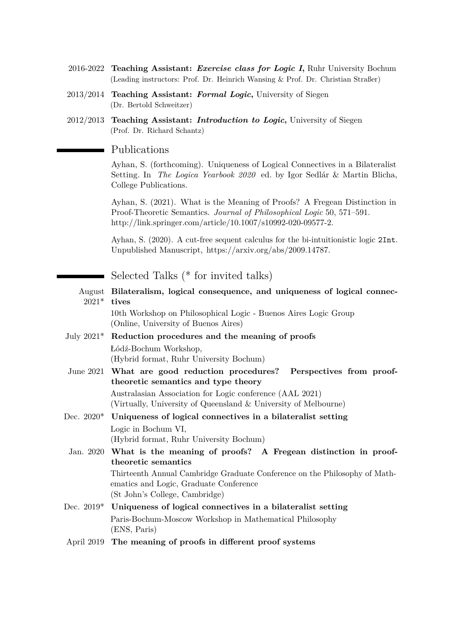- 2016-2022 **Teaching Assistant:** *Exercise class for Logic I***,** Ruhr University Bochum (Leading instructors: Prof. Dr. Heinrich Wansing & Prof. Dr. Christian Straßer)
- 2013/2014 **Teaching Assistant:** *Formal Logic***,** University of Siegen (Dr. Bertold Schweitzer)
- 2012/2013 **Teaching Assistant:** *Introduction to Logic***,** University of Siegen (Prof. Dr. Richard Schantz)

#### Publications

Ayhan, S. (forthcoming). Uniqueness of Logical Connectives in a Bilateralist Setting. In *The Logica Yearbook 2020* ed. by Igor Sedlár & Martin Blicha, College Publications.

Ayhan, S. (2021). What is the Meaning of Proofs? A Fregean Distinction in Proof-Theoretic Semantics. *Journal of Philosophical Logic* 50, 571–591. http://link.springer.com/article/10.1007/s10992-020-09577-2.

Ayhan, S. (2020). A cut-free sequent calculus for the bi-intuitionistic logic 2Int. Unpublished Manuscript, https://arxiv.org/abs/2009.14787.

Selected Talks (\* for invited talks)

| $2021*$ tives | August Bilateralism, logical consequence, and uniqueness of logical connec-                                                                            |
|---------------|--------------------------------------------------------------------------------------------------------------------------------------------------------|
|               | 10th Workshop on Philosophical Logic - Buenos Aires Logic Group<br>(Online, University of Buenos Aires)                                                |
|               | July 2021* Reduction procedures and the meaning of proofs                                                                                              |
|               | Łódź-Bochum Workshop,<br>(Hybrid format, Ruhr University Bochum)                                                                                       |
|               | June 2021 What are good reduction procedures? Perspectives from proof-                                                                                 |
|               | theoretic semantics and type theory                                                                                                                    |
|               | Australasian Association for Logic conference (AAL 2021)<br>(Virtually, University of Queensland & University of Melbourne)                            |
|               | Dec. $2020*$ Uniqueness of logical connectives in a bilateralist setting                                                                               |
|               | Logic in Bochum VI,<br>(Hybrid format, Ruhr University Bochum)                                                                                         |
|               | Jan. 2020 What is the meaning of proofs? A Fregean distinction in proof-<br>theoretic semantics                                                        |
|               | Thirteenth Annual Cambridge Graduate Conference on the Philosophy of Math-<br>ematics and Logic, Graduate Conference<br>(St John's College, Cambridge) |
|               | Dec. $2019*$ Uniqueness of logical connectives in a bilateralist setting                                                                               |
|               | Paris-Bochum-Moscow Workshop in Mathematical Philosophy<br>(ENS, Paris)                                                                                |
| April 2019    | The meaning of proofs in different proof systems                                                                                                       |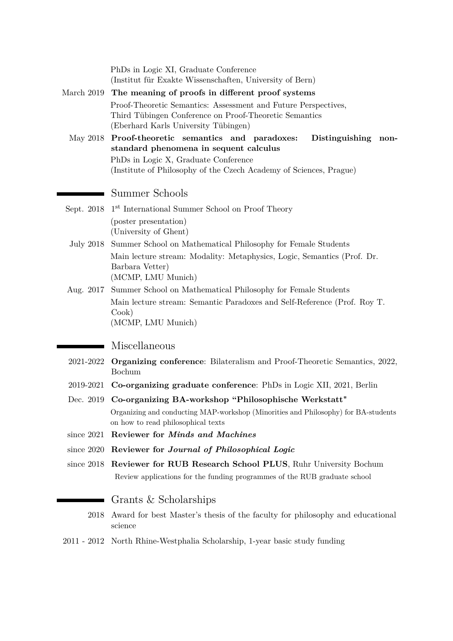| March 2019   | PhDs in Logic XI, Graduate Conference<br>(Institut für Exakte Wissenschaften, University of Bern)<br>The meaning of proofs in different proof systems<br>Proof-Theoretic Semantics: Assessment and Future Perspectives,<br>Third Tübingen Conference on Proof-Theoretic Semantics<br>(Eberhard Karls University Tübingen) |
|--------------|---------------------------------------------------------------------------------------------------------------------------------------------------------------------------------------------------------------------------------------------------------------------------------------------------------------------------|
| May 2018     | Proof-theoretic semantics and paradoxes:<br>Distinguishing<br>non-<br>standard phenomena in sequent calculus<br>PhDs in Logic X, Graduate Conference<br>(Institute of Philosophy of the Czech Academy of Sciences, Prague)                                                                                                |
|              | Summer Schools                                                                                                                                                                                                                                                                                                            |
| Sept. 2018   | 1 <sup>st</sup> International Summer School on Proof Theory                                                                                                                                                                                                                                                               |
|              | (poster presentation)<br>(University of Ghent)                                                                                                                                                                                                                                                                            |
| July 2018    | Summer School on Mathematical Philosophy for Female Students                                                                                                                                                                                                                                                              |
|              | Main lecture stream: Modality: Metaphysics, Logic, Semantics (Prof. Dr.<br>Barbara Vetter)<br>(MCMP, LMU Munich)                                                                                                                                                                                                          |
| Aug. 2017    | Summer School on Mathematical Philosophy for Female Students<br>Main lecture stream: Semantic Paradoxes and Self-Reference (Prof. Roy T.<br>$\mathrm{Cook}$<br>(MCMP, LMU Munich)                                                                                                                                         |
|              | Miscellaneous                                                                                                                                                                                                                                                                                                             |
|              | 2021-2022 Organizing conference: Bilateralism and Proof-Theoretic Semantics, 2022,<br>Bochum                                                                                                                                                                                                                              |
| 2019-2021    | Co-organizing graduate conference: PhDs in Logic XII, 2021, Berlin                                                                                                                                                                                                                                                        |
|              | Dec. 2019 Co-organizing BA-workshop "Philosophische Werkstatt"<br>Organizing and conducting MAP-workshop (Minorities and Philosophy) for BA-students<br>on how to read philosophical texts                                                                                                                                |
| since $2021$ | Reviewer for <i>Minds and Machines</i>                                                                                                                                                                                                                                                                                    |
| since $2020$ | Reviewer for Journal of Philosophical Logic                                                                                                                                                                                                                                                                               |
| since $2018$ | Reviewer for RUB Research School PLUS, Ruhr University Bochum<br>Review applications for the funding programmes of the RUB graduate school                                                                                                                                                                                |
|              | Grants & Scholarships                                                                                                                                                                                                                                                                                                     |
| 2018         | Award for best Master's thesis of the faculty for philosophy and educational<br>science                                                                                                                                                                                                                                   |
|              |                                                                                                                                                                                                                                                                                                                           |

2011 - 2012 North Rhine-Westphalia Scholarship, 1-year basic study funding